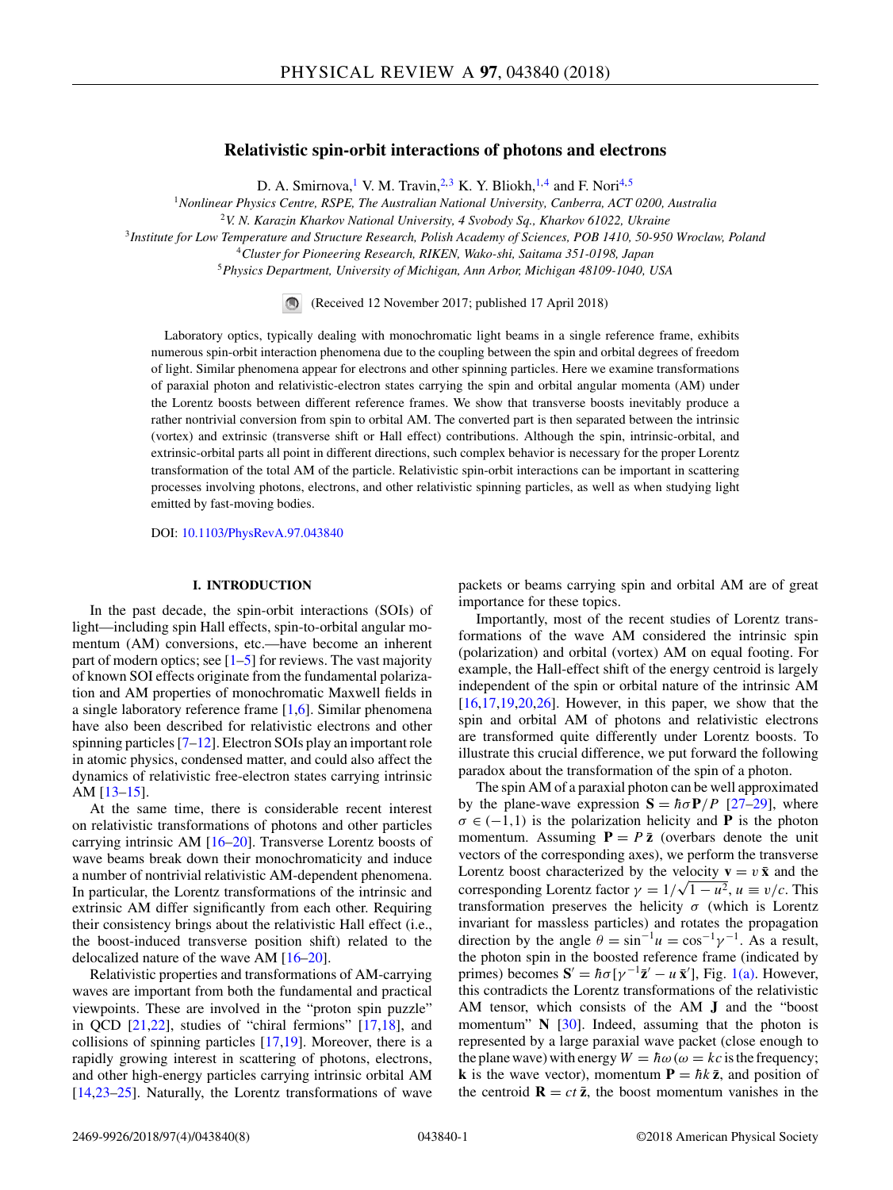# **Relativistic spin-orbit interactions of photons and electrons**

D. A. Smirnova,<sup>1</sup> V. M. Travin,<sup>2,3</sup> K. Y. Bliokh,<sup>1,4</sup> and F. Nori<sup>4,5</sup>

<sup>1</sup>*Nonlinear Physics Centre, RSPE, The Australian National University, Canberra, ACT 0200, Australia*

<sup>2</sup>*V. N. Karazin Kharkov National University, 4 Svobody Sq., Kharkov 61022, Ukraine*

<sup>3</sup>*Institute for Low Temperature and Structure Research, Polish Academy of Sciences, POB 1410, 50-950 Wroclaw, Poland*

<sup>4</sup>*Cluster for Pioneering Research, RIKEN, Wako-shi, Saitama 351-0198, Japan*

<sup>5</sup>*Physics Department, University of Michigan, Ann Arbor, Michigan 48109-1040, USA*

(Received 12 November 2017; published 17 April 2018)

Laboratory optics, typically dealing with monochromatic light beams in a single reference frame, exhibits numerous spin-orbit interaction phenomena due to the coupling between the spin and orbital degrees of freedom of light. Similar phenomena appear for electrons and other spinning particles. Here we examine transformations of paraxial photon and relativistic-electron states carrying the spin and orbital angular momenta (AM) under the Lorentz boosts between different reference frames. We show that transverse boosts inevitably produce a rather nontrivial conversion from spin to orbital AM. The converted part is then separated between the intrinsic (vortex) and extrinsic (transverse shift or Hall effect) contributions. Although the spin, intrinsic-orbital, and extrinsic-orbital parts all point in different directions, such complex behavior is necessary for the proper Lorentz transformation of the total AM of the particle. Relativistic spin-orbit interactions can be important in scattering processes involving photons, electrons, and other relativistic spinning particles, as well as when studying light emitted by fast-moving bodies.

DOI: [10.1103/PhysRevA.97.043840](https://doi.org/10.1103/PhysRevA.97.043840)

## **I. INTRODUCTION**

In the past decade, the spin-orbit interactions (SOIs) of light—including spin Hall effects, spin-to-orbital angular momentum (AM) conversions, etc.—have become an inherent part of modern optics; see  $[1-5]$  for reviews. The vast majority of known SOI effects originate from the fundamental polarization and AM properties of monochromatic Maxwell fields in a single laboratory reference frame [\[1,6\]](#page-6-0). Similar phenomena have also been described for relativistic electrons and other spinning particles [\[7–12\]](#page-6-0). Electron SOIs play an important role in atomic physics, condensed matter, and could also affect the dynamics of relativistic free-electron states carrying intrinsic AM [\[13–15\]](#page-6-0).

At the same time, there is considerable recent interest on relativistic transformations of photons and other particles carrying intrinsic AM [\[16](#page-6-0)[–20\]](#page-7-0). Transverse Lorentz boosts of wave beams break down their monochromaticity and induce a number of nontrivial relativistic AM-dependent phenomena. In particular, the Lorentz transformations of the intrinsic and extrinsic AM differ significantly from each other. Requiring their consistency brings about the relativistic Hall effect (i.e., the boost-induced transverse position shift) related to the delocalized nature of the wave AM [\[16–](#page-6-0)[20\]](#page-7-0).

Relativistic properties and transformations of AM-carrying waves are important from both the fundamental and practical viewpoints. These are involved in the "proton spin puzzle" in QCD [\[21,22\]](#page-7-0), studies of "chiral fermions" [\[17,18\]](#page-7-0), and collisions of spinning particles [\[17,19\]](#page-7-0). Moreover, there is a rapidly growing interest in scattering of photons, electrons, and other high-energy particles carrying intrinsic orbital AM [\[14](#page-6-0)[,23–25\]](#page-7-0). Naturally, the Lorentz transformations of wave packets or beams carrying spin and orbital AM are of great importance for these topics.

Importantly, most of the recent studies of Lorentz transformations of the wave AM considered the intrinsic spin (polarization) and orbital (vortex) AM on equal footing. For example, the Hall-effect shift of the energy centroid is largely independent of the spin or orbital nature of the intrinsic AM  $[16,17,19,20,26]$  $[16,17,19,20,26]$ . However, in this paper, we show that the spin and orbital AM of photons and relativistic electrons are transformed quite differently under Lorentz boosts. To illustrate this crucial difference, we put forward the following paradox about the transformation of the spin of a photon.

The spin AM of a paraxial photon can be well approximated by the plane-wave expression  $S = \hbar \sigma P / P$  [\[27–29\]](#page-7-0), where  $\sigma \in (-1,1)$  is the polarization helicity and **P** is the photon momentum. Assuming  $P = P\bar{z}$  (overbars denote the unit vectors of the corresponding axes), we perform the transverse Lorentz boost characterized by the velocity  $\mathbf{v} = v \bar{\mathbf{x}}$  and the corresponding Lorentz factor  $\gamma = 1/\sqrt{1 - u^2}$ ,  $u \equiv v/c$ . This transformation preserves the helicity  $\sigma$  (which is Lorentz invariant for massless particles) and rotates the propagation direction by the angle  $\theta = \sin^{-1} u = \cos^{-1} \gamma^{-1}$ . As a result, the photon spin in the boosted reference frame (indicated by primes) becomes  $S' = \hbar \sigma [\gamma^{-1} \bar{z}' - u \bar{x}']$ , Fig. [1\(a\).](#page-1-0) However, this contradicts the Lorentz transformations of the relativistic AM tensor, which consists of the AM **J** and the "boost momentum" **N** [\[30\]](#page-7-0). Indeed, assuming that the photon is represented by a large paraxial wave packet (close enough to the plane wave) with energy  $W = \hbar \omega (\omega = kc)$  is the frequency; **k** is the wave vector), momentum  $P = \hbar k \bar{z}$ , and position of the centroid  $\mathbf{R} = ct\bar{z}$ , the boost momentum vanishes in the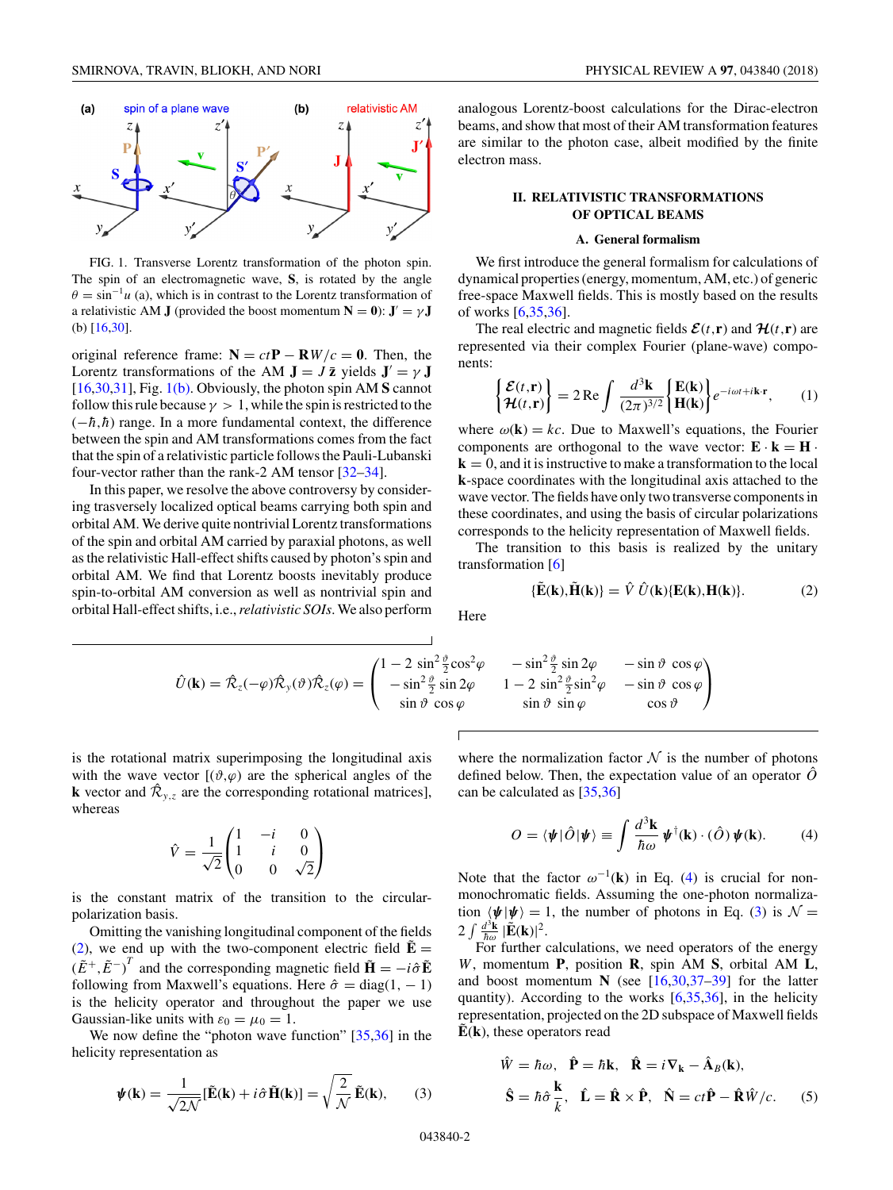<span id="page-1-0"></span>

FIG. 1. Transverse Lorentz transformation of the photon spin. The spin of an electromagnetic wave, **S**, is rotated by the angle  $\theta = \sin^{-1} u$  (a), which is in contrast to the Lorentz transformation of a relativistic AM **J** (provided the boost momentum  $N = 0$ ):  $J' = \gamma J$ (b) [\[16,](#page-6-0)[30\]](#page-7-0).

original reference frame:  $N = ctP - RW/c = 0$ . Then, the Lorentz transformations of the AM  $J = J \bar{z}$  yields  $J' = \gamma J$ [\[16,](#page-6-0)[30,31\]](#page-7-0), Fig. 1(b). Obviously, the photon spin AM **S** cannot follow this rule because  $\gamma > 1$ , while the spin is restricted to the  $(-\hbar, \hbar)$  range. In a more fundamental context, the difference between the spin and AM transformations comes from the fact that the spin of a relativistic particle follows the Pauli-Lubanski four-vector rather than the rank-2 AM tensor [\[32–34\]](#page-7-0).

In this paper, we resolve the above controversy by considering trasversely localized optical beams carrying both spin and orbital AM. We derive quite nontrivial Lorentz transformations of the spin and orbital AM carried by paraxial photons, as well as the relativistic Hall-effect shifts caused by photon's spin and orbital AM. We find that Lorentz boosts inevitably produce spin-to-orbital AM conversion as well as nontrivial spin and orbital Hall-effect shifts, i.e.,*relativistic SOIs*. We also perform analogous Lorentz-boost calculations for the Dirac-electron beams, and show that most of their AM transformation features are similar to the photon case, albeit modified by the finite electron mass.

# **II. RELATIVISTIC TRANSFORMATIONS OF OPTICAL BEAMS**

#### **A. General formalism**

We first introduce the general formalism for calculations of dynamical properties (energy, momentum, AM, etc.) of generic free-space Maxwell fields. This is mostly based on the results of works [\[6](#page-6-0)[,35,36\]](#page-7-0).

The real electric and magnetic fields  $\mathcal{E}(t,\mathbf{r})$  and  $\mathcal{H}(t,\mathbf{r})$  are represented via their complex Fourier (plane-wave) components:

$$
\begin{cases} \mathcal{E}(t,\mathbf{r}) \\ \mathcal{H}(t,\mathbf{r}) \end{cases} = 2 \operatorname{Re} \int \frac{d^3 \mathbf{k}}{(2\pi)^{3/2}} \begin{cases} \mathbf{E}(\mathbf{k}) \\ \mathbf{H}(\mathbf{k}) \end{cases} e^{-i\omega t + i\mathbf{k} \cdot \mathbf{r}}, \qquad (1)
$$

where  $\omega(\mathbf{k}) = kc$ . Due to Maxwell's equations, the Fourier components are orthogonal to the wave vector:  $\mathbf{E} \cdot \mathbf{k} = \mathbf{H} \cdot \mathbf{k}$ **, and it is instructive to make a transformation to the local k**-space coordinates with the longitudinal axis attached to the wave vector. The fields have only two transverse components in these coordinates, and using the basis of circular polarizations corresponds to the helicity representation of Maxwell fields.

The transition to this basis is realized by the unitary transformation [\[6\]](#page-6-0)

$$
\{\tilde{\mathbf{E}}(\mathbf{k}),\tilde{\mathbf{H}}(\mathbf{k})\} = \hat{V}\,\hat{U}(\mathbf{k})\{\mathbf{E}(\mathbf{k}),\mathbf{H}(\mathbf{k})\}.
$$
 (2)

Here

$$
\hat{U}(\mathbf{k}) = \hat{\mathcal{R}}_z(-\varphi)\hat{\mathcal{R}}_y(\vartheta)\hat{\mathcal{R}}_z(\varphi) = \begin{pmatrix} 1 - 2\sin^2\frac{\vartheta}{2}\cos^2\varphi & -\sin^2\frac{\vartheta}{2}\sin 2\varphi & -\sin\vartheta\cos\varphi\\ -\sin^2\frac{\vartheta}{2}\sin 2\varphi & 1 - 2\sin^2\frac{\vartheta}{2}\sin^2\varphi & -\sin\vartheta\cos\varphi\\ \sin\vartheta\cos\varphi & \sin\vartheta\sin\varphi & \cos\vartheta \end{pmatrix}
$$

is the rotational matrix superimposing the longitudinal axis with the wave vector  $[(\vartheta, \varphi)]$  are the spherical angles of the **k** vector and  $\mathcal{R}_{y,z}$  are the corresponding rotational matrices], whereas

$$
\hat{V} = \frac{1}{\sqrt{2}} \begin{pmatrix} 1 & -i & 0 \\ 1 & i & 0 \\ 0 & 0 & \sqrt{2} \end{pmatrix}
$$

is the constant matrix of the transition to the circularpolarization basis.

Omitting the vanishing longitudinal component of the fields (2), we end up with the two-component electric field  $\tilde{\mathbf{E}} =$  $(\tilde{E}^+, \tilde{E}^-)^T$  and the corresponding magnetic field  $\tilde{\mathbf{H}} = -i\hat{\sigma}\tilde{\mathbf{E}}$ following from Maxwell's equations. Here  $\hat{\sigma} = \text{diag}(1, -1)$ is the helicity operator and throughout the paper we use Gaussian-like units with  $\varepsilon_0 = \mu_0 = 1$ .

We now define the "photon wave function" [\[35,36\]](#page-7-0) in the helicity representation as

$$
\psi(\mathbf{k}) = \frac{1}{\sqrt{2\mathcal{N}}} [\tilde{\mathbf{E}}(\mathbf{k}) + i\hat{\sigma}\tilde{\mathbf{H}}(\mathbf{k})] = \sqrt{\frac{2}{\mathcal{N}}} \tilde{\mathbf{E}}(\mathbf{k}), \qquad (3)
$$

where the normalization factor  $\mathcal N$  is the number of photons defined below. Then, the expectation value of an operator  $\ddot{O}$ can be calculated as [\[35,36\]](#page-7-0)

$$
O = \langle \psi | \hat{O} | \psi \rangle \equiv \int \frac{d^3 \mathbf{k}}{\hbar \omega} \psi^{\dagger}(\mathbf{k}) \cdot (\hat{O}) \psi(\mathbf{k}). \tag{4}
$$

Note that the factor  $\omega^{-1}(\mathbf{k})$  in Eq. (4) is crucial for nonmonochromatic fields. Assuming the one-photon normalization  $\langle \psi | \psi \rangle = 1$ , the number of photons in Eq. (3) is  $\mathcal{N} =$  $2 \int \frac{d^3 \mathbf{k}}{\hbar \omega} |\tilde{\mathbf{E}}(\mathbf{k})|^2.$ 

For further calculations, we need operators of the energy *W*, momentum **P**, position **R**, spin AM **S**, orbital AM **L**, and boost momentum  $N$  (see  $[16,30,37-39]$  $[16,30,37-39]$  for the latter quantity). According to the works  $[6,35,36]$  $[6,35,36]$ , in the helicity representation, projected on the 2D subspace of Maxwell fields  $\dot{E}(\mathbf{k})$ , these operators read

$$
\hat{W} = \hbar\omega, \quad \hat{\mathbf{P}} = \hbar\mathbf{k}, \quad \hat{\mathbf{R}} = i\nabla_{\mathbf{k}} - \hat{\mathbf{A}}_B(\mathbf{k}),
$$
\n
$$
\hat{\mathbf{S}} = \hbar\hat{\sigma}\frac{\mathbf{k}}{k}, \quad \hat{\mathbf{L}} = \hat{\mathbf{R}} \times \hat{\mathbf{P}}, \quad \hat{\mathbf{N}} = ct\hat{\mathbf{P}} - \hat{\mathbf{R}}\hat{W}/c. \tag{5}
$$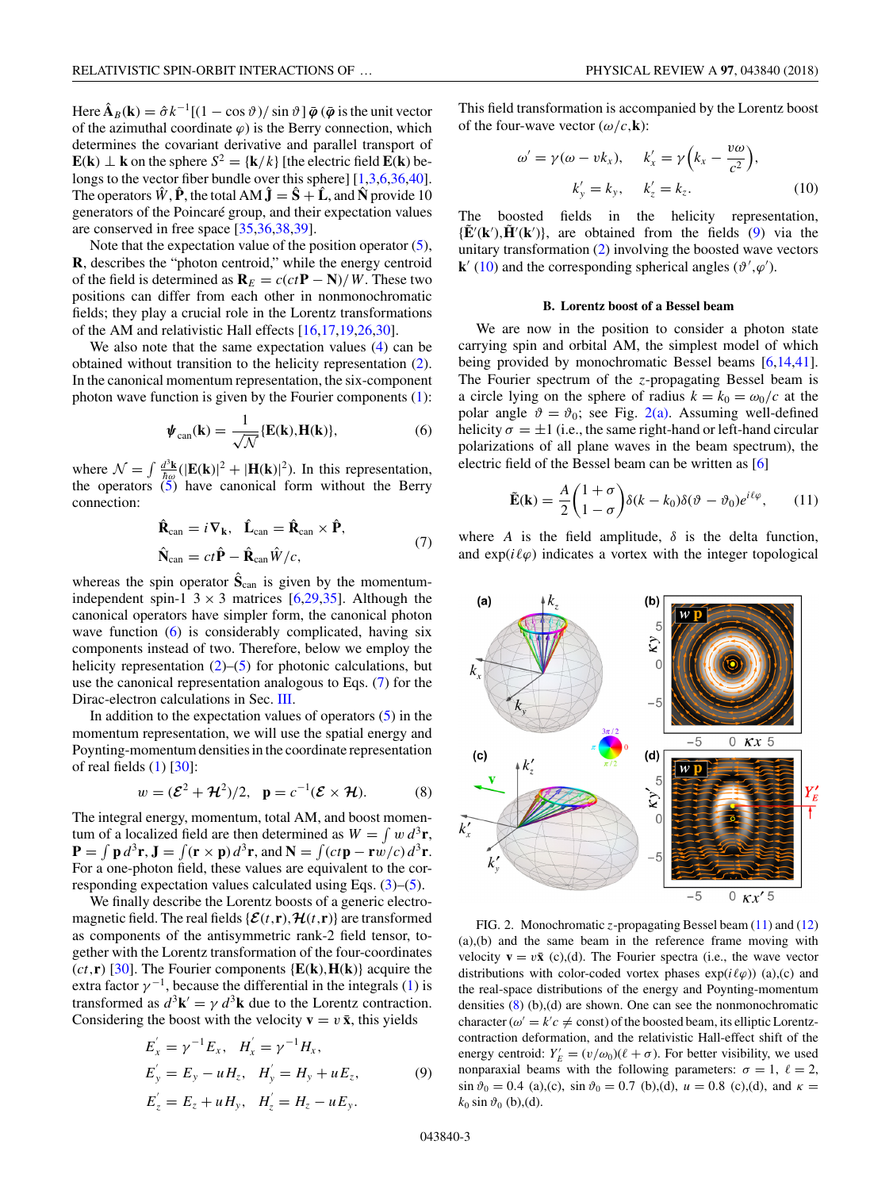<span id="page-2-0"></span>Here  $\hat{\mathbf{A}}_B(\mathbf{k}) = \hat{\sigma} k^{-1}[(1 - \cos \vartheta)/\sin \vartheta] \bar{\boldsymbol{\varphi}}$  ( $\bar{\boldsymbol{\varphi}}$  is the unit vector of the azimuthal coordinate  $\varphi$ ) is the Berry connection, which determines the covariant derivative and parallel transport of **E**(**k**) ⊥ **k** on the sphere  $S^2 = \{k/k\}$  [the electric field **E(k)** be-longs to the vector fiber bundle over this sphere] [\[1,3,6,](#page-6-0)[36,40\]](#page-7-0). The operators  $\hat{W}$ ,  $\hat{P}$ , the total AM  $\hat{J} = \hat{S} + \hat{L}$ , and  $\hat{N}$  provide 10 generators of the Poincaré group, and their expectation values are conserved in free space [\[35,36,38,39\]](#page-7-0).

Note that the expectation value of the position operator  $(5)$ , **R**, describes the "photon centroid," while the energy centroid of the field is determined as  $\mathbf{R}_E = c(ct\mathbf{P} - \mathbf{N})/W$ . These two positions can differ from each other in nonmonochromatic fields; they play a crucial role in the Lorentz transformations of the AM and relativistic Hall effects [\[16,](#page-6-0)[17,19,26,30\]](#page-7-0).

We also note that the same expectation values  $(4)$  can be obtained without transition to the helicity representation [\(2\)](#page-1-0). In the canonical momentum representation, the six-component photon wave function is given by the Fourier components [\(1\)](#page-1-0):

$$
\boldsymbol{\psi}_{\text{can}}(\mathbf{k}) = \frac{1}{\sqrt{\mathcal{N}}} \{\mathbf{E}(\mathbf{k}), \mathbf{H}(\mathbf{k})\},\tag{6}
$$

where  $\mathcal{N} = \int \frac{d^3 \mathbf{k}}{\hbar \omega} (|\mathbf{E}(\mathbf{k})|^2 + |\mathbf{H}(\mathbf{k})|^2)$ . In this representation, the operators  $(5)$  have canonical form without the Berry connection:

$$
\hat{\mathbf{R}}_{\text{can}} = i \nabla_{\mathbf{k}}, \quad \hat{\mathbf{L}}_{\text{can}} = \hat{\mathbf{R}}_{\text{can}} \times \hat{\mathbf{P}},
$$
\n
$$
\hat{\mathbf{N}}_{\text{can}} = ct \hat{\mathbf{P}} - \hat{\mathbf{R}}_{\text{can}} \hat{W}/c,
$$
\n(7)

whereas the spin operator  $\hat{\mathbf{S}}_{\text{can}}$  is given by the momentumindependent spin-1  $3 \times 3$  matrices [\[6](#page-6-0)[,29,35\]](#page-7-0). Although the canonical operators have simpler form, the canonical photon wave function (6) is considerably complicated, having six components instead of two. Therefore, below we employ the helicity representation  $(2)$ – $(5)$  for photonic calculations, but use the canonical representation analogous to Eqs. (7) for the Dirac-electron calculations in Sec. [III.](#page-4-0)

In addition to the expectation values of operators  $(5)$  in the momentum representation, we will use the spatial energy and Poynting-momentum densities in the coordinate representation of real fields  $(1)$  [\[30\]](#page-7-0):

$$
w = (\mathcal{E}^2 + \mathcal{H}^2)/2, \quad \mathbf{p} = c^{-1}(\mathcal{E} \times \mathcal{H}). \tag{8}
$$

The integral energy, momentum, total AM, and boost momentum of a localized field are then determined as  $W = \int w d^3r$ ,  $\mathbf{P} = \int \mathbf{p} d^3 \mathbf{r}$ ,  $\mathbf{J} = \int (\mathbf{r} \times \mathbf{p}) d^3 \mathbf{r}$ , and  $\mathbf{N} = \int (ct\mathbf{p} - \mathbf{r} w/c) d^3 \mathbf{r}$ . For a one-photon field, these values are equivalent to the corresponding expectation values calculated using Eqs. [\(3\)](#page-1-0)–[\(5\)](#page-1-0).

We finally describe the Lorentz boosts of a generic electromagnetic field. The real fields { $\mathcal{E}(t,\mathbf{r})$ ,  $\mathcal{H}(t,\mathbf{r})$ } are transformed as components of the antisymmetric rank-2 field tensor, together with the Lorentz transformation of the four-coordinates  $(ct, \mathbf{r})$  [\[30\]](#page-7-0). The Fourier components  $\{E(k), H(k)\}$  acquire the extra factor  $\gamma^{-1}$ , because the differential in the integrals [\(1\)](#page-1-0) is transformed as  $d^3\mathbf{k}' = \gamma d^3\mathbf{k}$  due to the Lorentz contraction. Considering the boost with the velocity  $\mathbf{v} = v \bar{\mathbf{x}}$ , this yields

$$
E'_{x} = \gamma^{-1} E_{x}, \quad H'_{x} = \gamma^{-1} H_{x}, \nE'_{y} = E_{y} - u H_{z}, \quad H'_{y} = H_{y} + u E_{z}, \nE'_{z} = E_{z} + u H_{y}, \quad H'_{z} = H_{z} - u E_{y}.
$$
\n(9)

This field transformation is accompanied by the Lorentz boost of the four-wave vector  $(\omega/c, \mathbf{k})$ :

$$
\omega' = \gamma(\omega - vk_x), \quad k'_x = \gamma(k_x - \frac{v\omega}{c^2}),
$$

$$
k'_y = k_y, \quad k'_z = k_z.
$$
 (10)

The boosted fields in the helicity representation,  ${\{\tilde{\mathbf{E}}'(\mathbf{k}'),\tilde{\mathbf{H}}'(\mathbf{k}')\}}$ , are obtained from the fields (9) via the unitary transformation [\(2\)](#page-1-0) involving the boosted wave vectors **k**<sup> $\prime$ </sup> (10) and the corresponding spherical angles ( $\vartheta$ <sup>*'*</sup>, $\varphi$ <sup>'</sup>).

### **B. Lorentz boost of a Bessel beam**

We are now in the position to consider a photon state carrying spin and orbital AM, the simplest model of which being provided by monochromatic Bessel beams [\[6,14,](#page-6-0)[41\]](#page-7-0). The Fourier spectrum of the *z*-propagating Bessel beam is a circle lying on the sphere of radius  $k = k_0 = \omega_0/c$  at the polar angle  $\vartheta = \vartheta_0$ ; see Fig. 2(a). Assuming well-defined helicity  $\sigma = \pm 1$  (i.e., the same right-hand or left-hand circular polarizations of all plane waves in the beam spectrum), the electric field of the Bessel beam can be written as [\[6\]](#page-6-0)

$$
\tilde{\mathbf{E}}(\mathbf{k}) = \frac{A}{2} \begin{pmatrix} 1+\sigma \\ 1-\sigma \end{pmatrix} \delta(k-k_0) \delta(\vartheta - \vartheta_0) e^{i\ell\varphi}, \qquad (11)
$$

where *A* is the field amplitude,  $\delta$  is the delta function, and  $exp(i\ell\varphi)$  indicates a vortex with the integer topological



FIG. 2. Monochromatic *z*-propagating Bessel beam (11) and [\(12\)](#page-3-0) (a),(b) and the same beam in the reference frame moving with velocity  $\mathbf{v} = v\bar{\mathbf{x}}$  (c),(d). The Fourier spectra (i.e., the wave vector distributions with color-coded vortex phases  $exp(i\ell\varphi)$  (a),(c) and the real-space distributions of the energy and Poynting-momentum densities  $(8)$  (b), (d) are shown. One can see the nonmonochromatic character ( $\omega' = k'c \neq \text{const}$ ) of the boosted beam, its elliptic Lorentzcontraction deformation, and the relativistic Hall-effect shift of the energy centroid:  $Y'_E = (v/\omega_0)(\ell + \sigma)$ . For better visibility, we used nonparaxial beams with the following parameters:  $\sigma = 1$ ,  $\ell = 2$ , sin  $\vartheta_0 = 0.4$  (a),(c), sin  $\vartheta_0 = 0.7$  (b),(d),  $u = 0.8$  (c),(d), and  $\kappa =$  $k_0$  sin  $\vartheta_0$  (b), (d).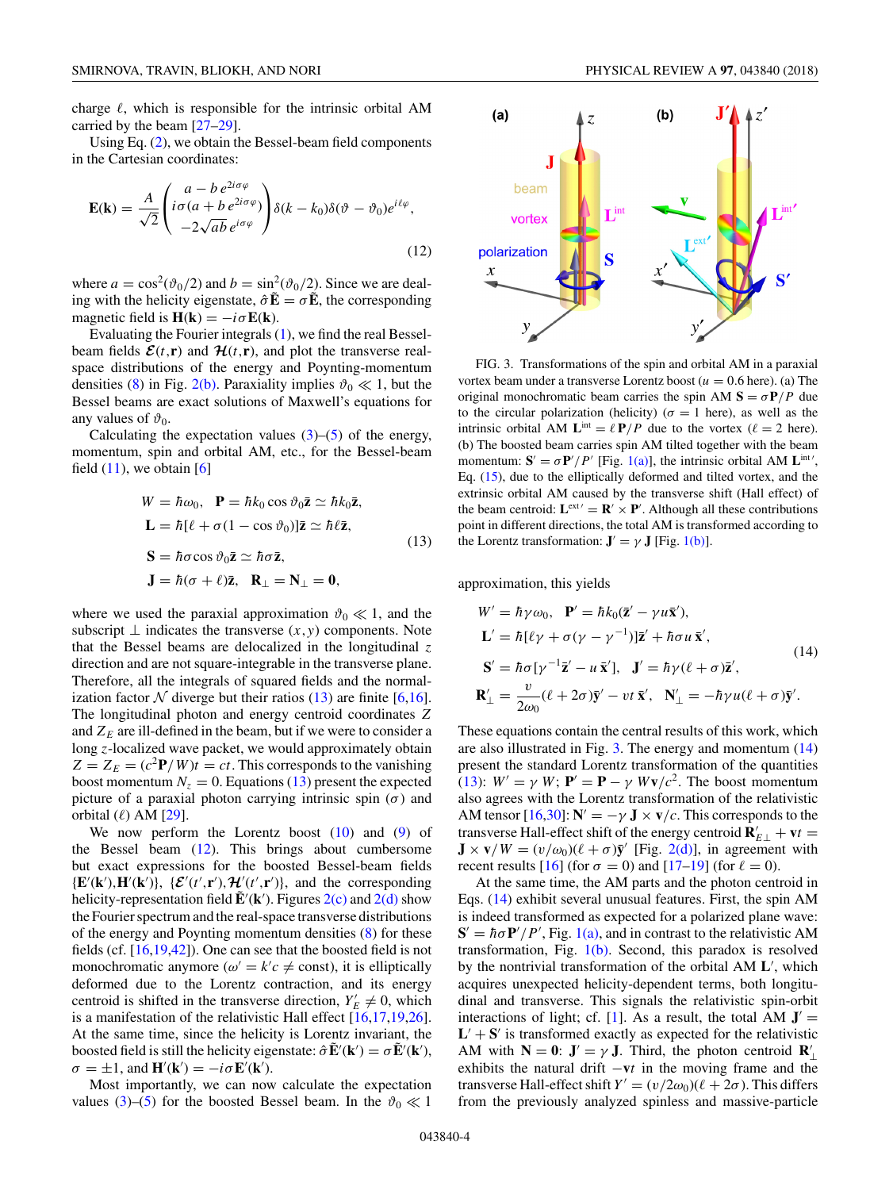<span id="page-3-0"></span>charge  $\ell$ , which is responsible for the intrinsic orbital AM carried by the beam [\[27–29\]](#page-7-0).

Using Eq. [\(2\)](#page-1-0), we obtain the Bessel-beam field components in the Cartesian coordinates:

$$
\mathbf{E}(\mathbf{k}) = \frac{A}{\sqrt{2}} \begin{pmatrix} a - b e^{2i\sigma\varphi} \\ i\sigma(a + b e^{2i\sigma\varphi}) \\ -2\sqrt{ab} e^{i\sigma\varphi} \end{pmatrix} \delta(k - k_0) \delta(\vartheta - \vartheta_0) e^{i\ell\varphi},
$$
(12)

where  $a = \cos^2(\vartheta_0/2)$  and  $b = \sin^2(\vartheta_0/2)$ . Since we are dealing with the helicity eigenstate,  $\hat{\sigma} \mathbf{E} = \sigma \mathbf{E}$ , the corresponding magnetic field is  $H(k) = -i\sigma E(k)$ .

Evaluating the Fourier integrals [\(1\)](#page-1-0), we find the real Besselbeam fields  $\mathcal{E}(t,\mathbf{r})$  and  $\mathcal{H}(t,\mathbf{r})$ , and plot the transverse realspace distributions of the energy and Poynting-momentum densities [\(8\)](#page-2-0) in Fig. [2\(b\).](#page-2-0) Paraxiality implies  $\vartheta_0 \ll 1$ , but the Bessel beams are exact solutions of Maxwell's equations for any values of  $\vartheta_0$ .

Calculating the expectation values  $(3)$ – $(5)$  of the energy, momentum, spin and orbital AM, etc., for the Bessel-beam field  $(11)$ , we obtain  $[6]$ 

$$
W = \hbar \omega_0, \quad \mathbf{P} = \hbar k_0 \cos \vartheta_0 \mathbf{\bar{z}} \simeq \hbar k_0 \mathbf{\bar{z}},
$$
  

$$
\mathbf{L} = \hbar [\ell + \sigma (1 - \cos \vartheta_0)] \mathbf{\bar{z}} \simeq \hbar \ell \mathbf{\bar{z}},
$$
  

$$
\mathbf{S} = \hbar \sigma \cos \vartheta_0 \mathbf{\bar{z}} \simeq \hbar \sigma \mathbf{\bar{z}},
$$
  

$$
\mathbf{J} = \hbar (\sigma + \ell) \mathbf{\bar{z}}, \quad \mathbf{R}_{\perp} = \mathbf{N}_{\perp} = \mathbf{0},
$$
 (13)

where we used the paraxial approximation  $\vartheta_0 \ll 1$ , and the subscript  $\perp$  indicates the transverse  $(x, y)$  components. Note that the Bessel beams are delocalized in the longitudinal *z* direction and are not square-integrable in the transverse plane. Therefore, all the integrals of squared fields and the normalization factor  $N$  diverge but their ratios (13) are finite [\[6,16\]](#page-6-0). The longitudinal photon and energy centroid coordinates *Z* and  $Z_E$  are ill-defined in the beam, but if we were to consider a long *z*-localized wave packet, we would approximately obtain  $Z = Z_E = (c^2 \mathbf{P} / W)t = ct$ . This corresponds to the vanishing boost momentum  $N_z = 0$ . Equations (13) present the expected picture of a paraxial photon carrying intrinsic spin  $(\sigma)$  and orbital  $(\ell)$  AM [\[29\]](#page-7-0).

We now perform the Lorentz boost  $(10)$  and  $(9)$  of the Bessel beam  $(12)$ . This brings about cumbersome but exact expressions for the boosted Bessel-beam fields  ${\bf E}'({\bf k}')$ ,  ${\bf H}'({\bf k}')$ ,  ${\bf E}'(t',{\bf r}')$ ,  ${\bf H}'(t',{\bf r}')$ , and the corresponding helicity-representation field  $\tilde{\mathbf{E}}'(\mathbf{k}')$ . Figures [2\(c\)](#page-2-0) and [2\(d\)](#page-2-0) show the Fourier spectrum and the real-space transverse distributions of the energy and Poynting momentum densities [\(8\)](#page-2-0) for these fields (cf. [\[16](#page-6-0)[,19,42\]](#page-7-0)). One can see that the boosted field is not monochromatic anymore ( $\omega' = k'c \neq \text{const}$ ), it is elliptically deformed due to the Lorentz contraction, and its energy centroid is shifted in the transverse direction,  $Y'_E \neq 0$ , which is a manifestation of the relativistic Hall effect [\[16](#page-6-0)[,17,19,26\]](#page-7-0). At the same time, since the helicity is Lorentz invariant, the boosted field is still the helicity eigenstate:  $\hat{\sigma} \tilde{\mathbf{E}}'(\mathbf{k}') = \sigma \tilde{\mathbf{E}}'(\mathbf{k}'),$  $\sigma = \pm 1$ , and  $\mathbf{H}'(\mathbf{k}') = -i\sigma \mathbf{E}'(\mathbf{k}')$ .

Most importantly, we can now calculate the expectation values [\(3\)](#page-1-0)–[\(5\)](#page-1-0) for the boosted Bessel beam. In the  $\vartheta_0 \ll 1$ 



FIG. 3. Transformations of the spin and orbital AM in a paraxial vortex beam under a transverse Lorentz boost ( $u = 0.6$  here). (a) The original monochromatic beam carries the spin AM  $S = \sigma P / P$  due to the circular polarization (helicity) ( $\sigma = 1$  here), as well as the intrinsic orbital AM  $\mathbf{L}^{\text{int}} = \ell \, \mathbf{P} / P$  due to the vortex ( $\ell = 2$  here). (b) The boosted beam carries spin AM tilted together with the beam momentum:  $S' = \sigma P'/P'$  [Fig. [1\(a\)\]](#page-1-0), the intrinsic orbital AM  $L^{int'}$ , Eq. [\(15\)](#page-4-0), due to the elliptically deformed and tilted vortex, and the extrinsic orbital AM caused by the transverse shift (Hall effect) of the beam centroid:  $\mathbf{L}^{\text{ext}} = \mathbf{R}' \times \mathbf{P}'$ . Although all these contributions point in different directions, the total AM is transformed according to the Lorentz transformation:  $J' = \gamma J$  [Fig. [1\(b\)\]](#page-1-0).

approximation, this yields

$$
W' = \hbar \gamma \omega_0, \quad \mathbf{P}' = \hbar k_0 (\mathbf{\bar{z}}' - \gamma u \mathbf{\bar{x}}'),
$$
  
\n
$$
\mathbf{L}' = \hbar [\ell \gamma + \sigma (\gamma - \gamma^{-1})] \mathbf{\bar{z}}' + \hbar \sigma u \mathbf{\bar{x}}',
$$
  
\n
$$
\mathbf{S}' = \hbar \sigma [\gamma^{-1} \mathbf{\bar{z}}' - u \mathbf{\bar{x}}'], \quad \mathbf{J}' = \hbar \gamma (\ell + \sigma) \mathbf{\bar{z}}',
$$
  
\n
$$
\mathbf{R}'_{\perp} = \frac{v}{2\omega_0} (\ell + 2\sigma) \mathbf{\bar{y}}' - vt \mathbf{\bar{x}}', \quad \mathbf{N}'_{\perp} = -\hbar \gamma u (\ell + \sigma) \mathbf{\bar{y}}'.
$$
 (14)

These equations contain the central results of this work, which are also illustrated in Fig. 3. The energy and momentum (14) present the standard Lorentz transformation of the quantities (13):  $W' = \gamma W$ ;  $\mathbf{P}' = \mathbf{P} - \gamma W \mathbf{v}/c^2$ . The boost momentum also agrees with the Lorentz transformation of the relativistic AM tensor  $[16,30]$  $[16,30]$ :  $N' = -\gamma J \times v/c$ . This corresponds to the transverse Hall-effect shift of the energy centroid  $\mathbf{R}'_{E\perp} + \mathbf{v}t =$  $\mathbf{J} \times \mathbf{v}/W = (v/\omega_0)(\ell + \sigma)\mathbf{\bar{y}}'$  [Fig. [2\(d\)\]](#page-2-0), in agreement with recent results  $[16]$  (for  $\sigma = 0$ ) and  $[17–19]$  (for  $\ell = 0$ ).

At the same time, the AM parts and the photon centroid in Eqs. (14) exhibit several unusual features. First, the spin AM is indeed transformed as expected for a polarized plane wave:  $S' = \hbar \sigma P'/P'$ , Fig. [1\(a\),](#page-1-0) and in contrast to the relativistic AM transformation, Fig.  $1(b)$ . Second, this paradox is resolved by the nontrivial transformation of the orbital AM **L** , which acquires unexpected helicity-dependent terms, both longitudinal and transverse. This signals the relativistic spin-orbit interactions of light; cf. [\[1\]](#page-6-0). As a result, the total AM  $J' =$  $L' + S'$  is transformed exactly as expected for the relativistic AM with  $N = 0$ :  $J' = \gamma J$ . Third, the photon centroid  $R'_{\perp}$ exhibits the natural drift −**v***t* in the moving frame and the transverse Hall-effect shift  $Y' = (v/2\omega_0)(\ell + 2\sigma)$ . This differs from the previously analyzed spinless and massive-particle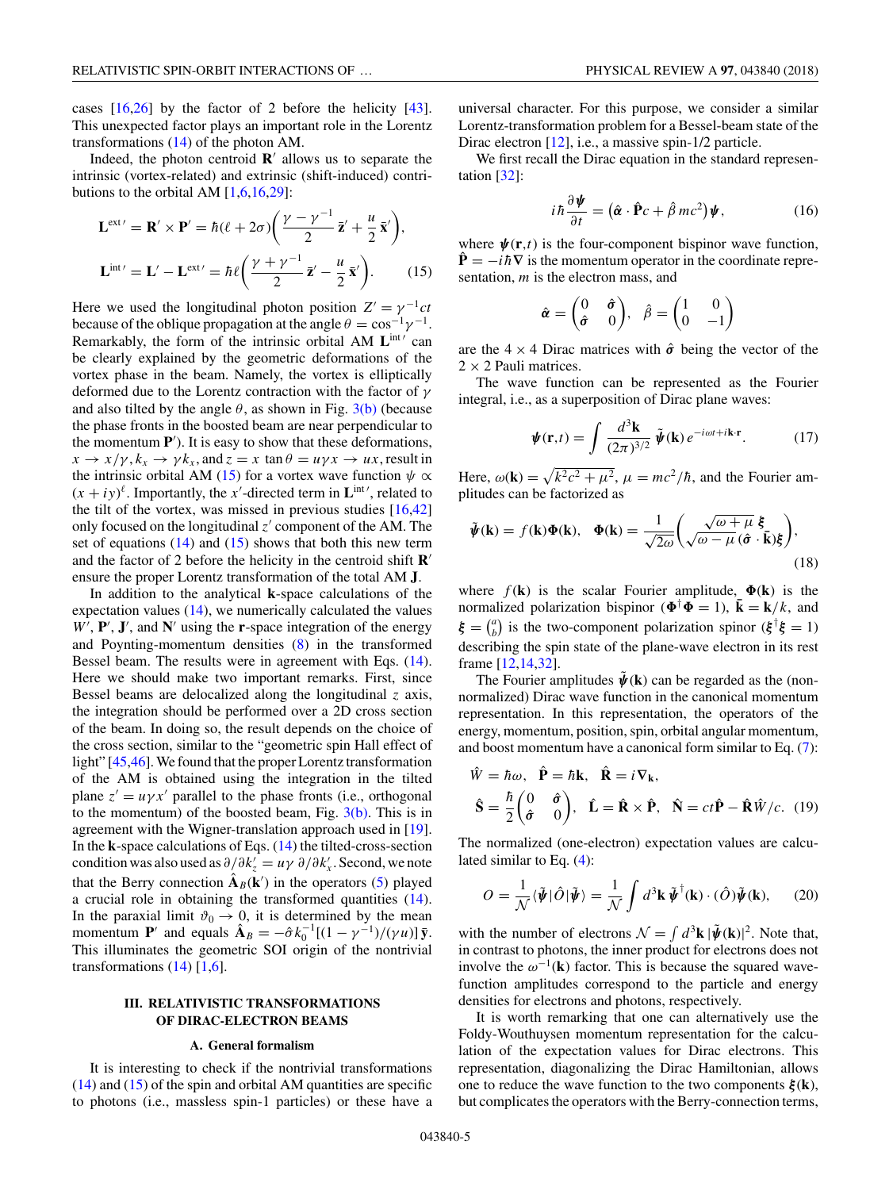<span id="page-4-0"></span>cases [\[16](#page-6-0)[,26\]](#page-7-0) by the factor of 2 before the helicity [\[43\]](#page-7-0). This unexpected factor plays an important role in the Lorentz transformations [\(14\)](#page-3-0) of the photon AM.

Indeed, the photon centroid  $\mathbf{R}'$  allows us to separate the intrinsic (vortex-related) and extrinsic (shift-induced) contributions to the orbital AM  $[1,6,16,29]$  $[1,6,16,29]$ :

$$
\mathbf{L}^{\text{ext}'} = \mathbf{R}' \times \mathbf{P}' = \hbar (\ell + 2\sigma) \left( \frac{\gamma - \gamma^{-1}}{2} \mathbf{\vec{z}}' + \frac{\mu}{2} \mathbf{\vec{x}}' \right),
$$
  

$$
\mathbf{L}^{\text{int}'} = \mathbf{L}' - \mathbf{L}^{\text{ext}'} = \hbar \ell \left( \frac{\gamma + \gamma^{-1}}{2} \mathbf{\vec{z}}' - \frac{\mu}{2} \mathbf{\vec{x}}' \right).
$$
 (15)

Here we used the longitudinal photon position  $Z' = \gamma^{-1}ct$ because of the oblique propagation at the angle  $\theta = \cos^{-1}$ Remarkably, the form of the intrinsic orbital AM L<sup>int</sup> can be clearly explained by the geometric deformations of the vortex phase in the beam. Namely, the vortex is elliptically deformed due to the Lorentz contraction with the factor of *γ* and also tilted by the angle  $\theta$ , as shown in Fig. [3\(b\)](#page-3-0) (because the phase fronts in the boosted beam are near perpendicular to the momentum **P** ). It is easy to show that these deformations,  $x \to x/\gamma$ ,  $k_x \to \gamma k_x$ , and  $z = x \tan \theta = u\gamma x \to ux$ , result in the intrinsic orbital AM (15) for a vortex wave function  $\psi \propto$  $(x + iy)^{\ell}$ . Importantly, the *x*'-directed term in  $\mathbf{L}^{\text{int}}$ ', related to the tilt of the vortex, was missed in previous studies [\[16,](#page-6-0)[42\]](#page-7-0) only focused on the longitudinal  $z'$  component of the AM. The set of equations  $(14)$  and  $(15)$  shows that both this new term and the factor of 2 before the helicity in the centroid shift **R** ensure the proper Lorentz transformation of the total AM **J**.

In addition to the analytical **k**-space calculations of the expectation values [\(14\)](#page-3-0), we numerically calculated the values  $W'$ ,  $P'$ ,  $J'$ , and  $N'$  using the **r**-space integration of the energy and Poynting-momentum densities [\(8\)](#page-2-0) in the transformed Bessel beam. The results were in agreement with Eqs. [\(14\)](#page-3-0). Here we should make two important remarks. First, since Bessel beams are delocalized along the longitudinal *z* axis, the integration should be performed over a 2D cross section of the beam. In doing so, the result depends on the choice of the cross section, similar to the "geometric spin Hall effect of light" [\[45,46\]](#page-7-0). We found that the proper Lorentz transformation of the AM is obtained using the integration in the tilted plane  $z' = u\gamma x'$  parallel to the phase fronts (i.e., orthogonal to the momentum) of the boosted beam, Fig.  $3(b)$ . This is in agreement with the Wigner-translation approach used in [\[19\]](#page-7-0). In the **k**-space calculations of Eqs. [\(14\)](#page-3-0) the tilted-cross-section condition was also used as  $\partial/\partial k'_z = u\gamma \partial/\partial k'_x$ . Second, we note that the Berry connection  $\hat{A}_B(k')$  in the operators [\(5\)](#page-1-0) played a crucial role in obtaining the transformed quantities [\(14\)](#page-3-0). In the paraxial limit  $\vartheta_0 \to 0$ , it is determined by the mean momentum **P**<sup>*'*</sup> and equals  $\hat{\mathbf{A}}_B = -\hat{\sigma} k_0^{-1}[(1 - \gamma^{-1})/(\gamma u)]\bar{\mathbf{y}}$ . This illuminates the geometric SOI origin of the nontrivial transformations  $(14)$  [\[1,6\]](#page-6-0).

## **III. RELATIVISTIC TRANSFORMATIONS OF DIRAC-ELECTRON BEAMS**

#### **A. General formalism**

It is interesting to check if the nontrivial transformations [\(14\)](#page-3-0) and (15) of the spin and orbital AM quantities are specific to photons (i.e., massless spin-1 particles) or these have a universal character. For this purpose, we consider a similar Lorentz-transformation problem for a Bessel-beam state of the Dirac electron [\[12\]](#page-6-0), i.e., a massive spin-1/2 particle.

We first recall the Dirac equation in the standard representation [\[32\]](#page-7-0):

$$
i\hbar \frac{\partial \boldsymbol{\psi}}{\partial t} = (\hat{\boldsymbol{\alpha}} \cdot \hat{\mathbf{P}} c + \hat{\beta} mc^2) \boldsymbol{\psi}, \qquad (16)
$$

where  $\psi(\mathbf{r},t)$  is the four-component bispinor wave function,  $\dot{\mathbf{P}} = -i\hbar \nabla$  is the momentum operator in the coordinate representation, *m* is the electron mass, and

$$
\hat{\boldsymbol{\alpha}} = \begin{pmatrix} 0 & \hat{\boldsymbol{\sigma}} \\ \hat{\boldsymbol{\sigma}} & 0 \end{pmatrix}, \ \hat{\beta} = \begin{pmatrix} 1 & 0 \\ 0 & -1 \end{pmatrix}
$$

are the  $4 \times 4$  Dirac matrices with  $\hat{\sigma}$  being the vector of the  $2 \times 2$  Pauli matrices.

The wave function can be represented as the Fourier integral, i.e., as a superposition of Dirac plane waves:

$$
\mathbf{\psi}(\mathbf{r},t) = \int \frac{d^3 \mathbf{k}}{(2\pi)^{3/2}} \, \tilde{\mathbf{\psi}}(\mathbf{k}) \, e^{-i\omega t + i\mathbf{k} \cdot \mathbf{r}}. \tag{17}
$$

Here,  $\omega(\mathbf{k}) = \sqrt{k^2 c^2 + \mu^2}$ ,  $\mu = mc^2/\hbar$ , and the Fourier amplitudes can be factorized as

$$
\tilde{\psi}(\mathbf{k}) = f(\mathbf{k})\Phi(\mathbf{k}), \quad \Phi(\mathbf{k}) = \frac{1}{\sqrt{2\omega}} \left( \frac{\sqrt{\omega + \mu}}{\sqrt{\omega - \mu} (\hat{\sigma} \cdot \bar{\mathbf{k}}) \xi} \right),\tag{18}
$$

where  $f(\mathbf{k})$  is the scalar Fourier amplitude,  $\Phi(\mathbf{k})$  is the normalized polarization bispinor ( $\mathbf{\Phi}^{\dagger} \mathbf{\Phi} = 1$ ),  $\mathbf{\bar{k}} = \mathbf{k}/k$ , and  $\xi = \binom{a}{b}$  is the two-component polarization spinor  $(\xi^{\dagger} \xi = 1)$ describing the spin state of the plane-wave electron in its rest frame [\[12,14,](#page-6-0)[32\]](#page-7-0).

The Fourier amplitudes  $\hat{\psi}(\mathbf{k})$  can be regarded as the (nonnormalized) Dirac wave function in the canonical momentum representation. In this representation, the operators of the energy, momentum, position, spin, orbital angular momentum, and boost momentum have a canonical form similar to Eq. [\(7\)](#page-2-0):

$$
\hat{W} = \hbar\omega, \quad \hat{\mathbf{P}} = \hbar\mathbf{k}, \quad \hat{\mathbf{R}} = i\nabla_{\mathbf{k}},
$$
\n
$$
\hat{\mathbf{S}} = \frac{\hbar}{2} \begin{pmatrix} 0 & \hat{\sigma} \\ \hat{\sigma} & 0 \end{pmatrix}, \quad \hat{\mathbf{L}} = \hat{\mathbf{R}} \times \hat{\mathbf{P}}, \quad \hat{\mathbf{N}} = ct\hat{\mathbf{P}} - \hat{\mathbf{R}}\hat{W}/c. \tag{19}
$$

The normalized (one-electron) expectation values are calculated similar to Eq. [\(4\)](#page-1-0):

$$
O = \frac{1}{\mathcal{N}} \langle \tilde{\boldsymbol{\psi}} | \hat{O} | \tilde{\boldsymbol{\psi}} \rangle = \frac{1}{\mathcal{N}} \int d^3 \mathbf{k} \, \tilde{\boldsymbol{\psi}}^\dagger(\mathbf{k}) \cdot (\hat{O}) \tilde{\boldsymbol{\psi}}(\mathbf{k}), \qquad (20)
$$

with the number of electrons  $\mathcal{N} = \int d^3\mathbf{k} |\tilde{\boldsymbol{\psi}}(\mathbf{k})|^2$ . Note that, in contrast to photons, the inner product for electrons does not involve the  $\omega^{-1}(\mathbf{k})$  factor. This is because the squared wavefunction amplitudes correspond to the particle and energy densities for electrons and photons, respectively.

It is worth remarking that one can alternatively use the Foldy-Wouthuysen momentum representation for the calculation of the expectation values for Dirac electrons. This representation, diagonalizing the Dirac Hamiltonian, allows one to reduce the wave function to the two components *ξ* (**k**), but complicates the operators with the Berry-connection terms,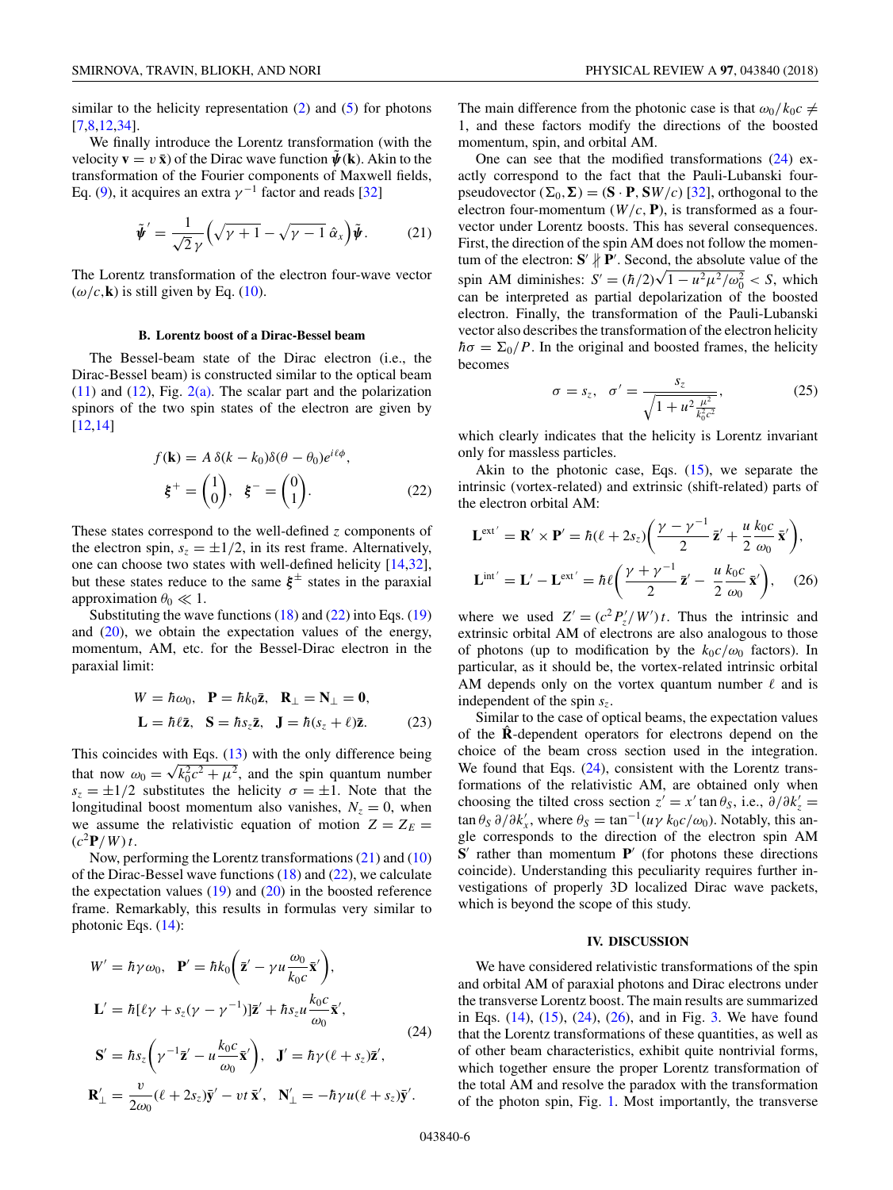similar to the helicity representation  $(2)$  and  $(5)$  for photons [\[7,8,12,](#page-6-0)[34\]](#page-7-0).

We finally introduce the Lorentz transformation (with the velocity  $\mathbf{v} = v \mathbf{\bar{x}}$  of the Dirac wave function  $\mathbf{\hat{\psi}}(\mathbf{k})$ . Akin to the transformation of the Fourier components of Maxwell fields, Eq. [\(9\)](#page-2-0), it acquires an extra  $\gamma^{-1}$  factor and reads [\[32\]](#page-7-0)

$$
\tilde{\boldsymbol{\psi}}' = \frac{1}{\sqrt{2}\,\gamma} \Big( \sqrt{\gamma + 1} - \sqrt{\gamma - 1} \,\hat{\alpha}_x \Big) \tilde{\boldsymbol{\psi}}. \tag{21}
$$

The Lorentz transformation of the electron four-wave vector  $(\omega/c, \mathbf{k})$  is still given by Eq. [\(10\)](#page-2-0).

### **B. Lorentz boost of a Dirac-Bessel beam**

The Bessel-beam state of the Dirac electron (i.e., the Dirac-Bessel beam) is constructed similar to the optical beam  $(11)$  and  $(12)$ , Fig.  $2(a)$ . The scalar part and the polarization spinors of the two spin states of the electron are given by [\[12,14\]](#page-6-0)

$$
f(\mathbf{k}) = A \, \delta(k - k_0) \delta(\theta - \theta_0) e^{i\ell\phi},
$$

$$
\xi^+ = \begin{pmatrix} 1 \\ 0 \end{pmatrix}, \quad \xi^- = \begin{pmatrix} 0 \\ 1 \end{pmatrix}.
$$
 (22)

These states correspond to the well-defined *z* components of the electron spin,  $s_z = \pm 1/2$ , in its rest frame. Alternatively, one can choose two states with well-defined helicity [\[14](#page-6-0)[,32\]](#page-7-0), but these states reduce to the same  $\xi^{\pm}$  states in the paraxial approximation  $\theta_0 \ll 1$ .

Substituting the wave functions [\(18\)](#page-4-0) and (22) into Eqs. [\(19\)](#page-4-0) and  $(20)$ , we obtain the expectation values of the energy, momentum, AM, etc. for the Bessel-Dirac electron in the paraxial limit:

$$
W = \hbar \omega_0, \quad \mathbf{P} = \hbar k_0 \bar{\mathbf{z}}, \quad \mathbf{R}_{\perp} = \mathbf{N}_{\perp} = \mathbf{0},
$$

$$
\mathbf{L} = \hbar \ell \bar{\mathbf{z}}, \quad \mathbf{S} = \hbar s_z \bar{\mathbf{z}}, \quad \mathbf{J} = \hbar (s_z + \ell) \bar{\mathbf{z}}.
$$
(23)

This coincides with Eqs. [\(13\)](#page-3-0) with the only difference being This coincides with Eqs. (15) with the only difference being<br>that now  $\omega_0 = \sqrt{k_0^2 c^2 + \mu^2}$ , and the spin quantum number  $s_z = \pm 1/2$  substitutes the helicity  $\sigma = \pm 1$ . Note that the longitudinal boost momentum also vanishes,  $N_z = 0$ , when we assume the relativistic equation of motion  $Z = Z_E$  $(c^2P/W)t$ .

Now, performing the Lorentz transformations (21) and [\(10\)](#page-2-0) of the Dirac-Bessel wave functions  $(18)$  and  $(22)$ , we calculate the expectation values  $(19)$  and  $(20)$  in the boosted reference frame. Remarkably, this results in formulas very similar to photonic Eqs. [\(14\)](#page-3-0):

$$
W' = \hbar \gamma \omega_0, \quad \mathbf{P}' = \hbar k_0 \left( \mathbf{\bar{z}}' - \gamma u \frac{\omega_0}{k_0 c} \mathbf{\bar{x}}' \right),
$$
  
\n
$$
\mathbf{L}' = \hbar [\ell \gamma + s_z (\gamma - \gamma^{-1})] \mathbf{\bar{z}}' + \hbar s_z u \frac{k_0 c}{\omega_0} \mathbf{\bar{x}}',
$$
  
\n
$$
\mathbf{S}' = \hbar s_z \left( \gamma^{-1} \mathbf{\bar{z}}' - u \frac{k_0 c}{\omega_0} \mathbf{\bar{x}}' \right), \quad \mathbf{J}' = \hbar \gamma (\ell + s_z) \mathbf{\bar{z}}',
$$
  
\n
$$
\mathbf{R}'_{\perp} = \frac{v}{2\omega_0} (\ell + 2s_z) \mathbf{\bar{y}}' - vt \mathbf{\bar{x}}', \quad \mathbf{N}'_{\perp} = -\hbar \gamma u (\ell + s_z) \mathbf{\bar{y}}'.
$$

The main difference from the photonic case is that  $\omega_0/k_0c \neq$ 1, and these factors modify the directions of the boosted momentum, spin, and orbital AM.

One can see that the modified transformations (24) exactly correspond to the fact that the Pauli-Lubanski fourpseudovector  $(\Sigma_0, \Sigma) = (\mathbf{S} \cdot \mathbf{P}, \mathbf{S}W/c)$  [\[32\]](#page-7-0), orthogonal to the electron four-momentum  $(W/c, P)$ , is transformed as a fourvector under Lorentz boosts. This has several consequences. First, the direction of the spin AM does not follow the momentum of the electron:  $S' \nparallel P'$ . Second, the absolute value of the tum of the efectron: **S**  $\gamma$  **P** . Second, the absolute value of the spin AM diminishes:  $S' = (\hbar/2)\sqrt{1 - u^2 \mu^2/\omega_0^2} < S$ , which can be interpreted as partial depolarization of the boosted electron. Finally, the transformation of the Pauli-Lubanski vector also describes the transformation of the electron helicity  $\hbar\sigma = \Sigma_0/P$ . In the original and boosted frames, the helicity becomes

$$
\sigma = s_z, \quad \sigma' = \frac{s_z}{\sqrt{1 + u^2 \frac{\mu^2}{k_0^2 c^2}}},\tag{25}
$$

which clearly indicates that the helicity is Lorentz invariant only for massless particles.

Akin to the photonic case, Eqs. [\(15\)](#page-4-0), we separate the intrinsic (vortex-related) and extrinsic (shift-related) parts of the electron orbital AM:

$$
\mathbf{L}^{\text{ext}'} = \mathbf{R}' \times \mathbf{P}' = \hbar (\ell + 2s_z) \bigg( \frac{\gamma - \gamma^{-1}}{2} \mathbf{z}' + \frac{u}{2} \frac{k_0 c}{\omega_0} \mathbf{\bar{x}}' \bigg),
$$
  

$$
\mathbf{L}^{\text{int}'} = \mathbf{L}' - \mathbf{L}^{\text{ext}'} = \hbar \ell \bigg( \frac{\gamma + \gamma^{-1}}{2} \mathbf{\bar{z}}' - \frac{u}{2} \frac{k_0 c}{\omega_0} \mathbf{\bar{x}}' \bigg), \quad (26)
$$

where we used  $Z' = (c^2 P'_z/W')t$ . Thus the intrinsic and extrinsic orbital AM of electrons are also analogous to those of photons (up to modification by the  $k_0 c/\omega_0$  factors). In particular, as it should be, the vortex-related intrinsic orbital AM depends only on the vortex quantum number  $\ell$  and is independent of the spin  $s_z$ .

Similar to the case of optical beams, the expectation values of the **R**ˆ -dependent operators for electrons depend on the choice of the beam cross section used in the integration. We found that Eqs. (24), consistent with the Lorentz transformations of the relativistic AM, are obtained only when choosing the tilted cross section  $z' = x' \tan \theta_s$ , i.e.,  $\partial/\partial k'_z =$  $\tan \theta_S \partial/\partial k'_x$ , where  $\theta_S = \tan^{-1}(u\gamma k_0 c/\omega_0)$ . Notably, this angle corresponds to the direction of the electron spin AM  $S'$  rather than momentum  $P'$  (for photons these directions coincide). Understanding this peculiarity requires further investigations of properly 3D localized Dirac wave packets, which is beyond the scope of this study.

### **IV. DISCUSSION**

We have considered relativistic transformations of the spin and orbital AM of paraxial photons and Dirac electrons under the transverse Lorentz boost. The main results are summarized in Eqs. [\(14\)](#page-3-0), [\(15\)](#page-4-0), (24), (26), and in Fig. [3.](#page-3-0) We have found that the Lorentz transformations of these quantities, as well as of other beam characteristics, exhibit quite nontrivial forms, which together ensure the proper Lorentz transformation of the total AM and resolve the paradox with the transformation of the photon spin, Fig. [1.](#page-1-0) Most importantly, the transverse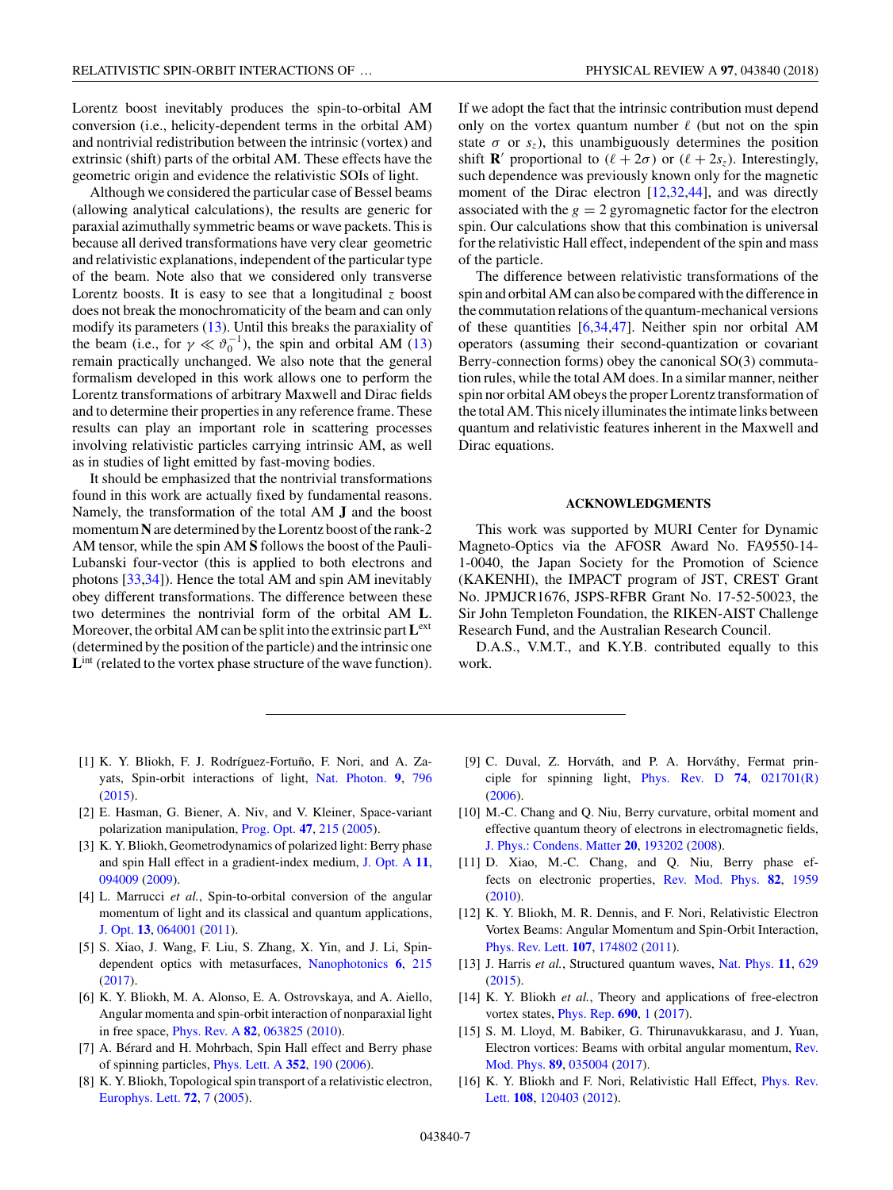<span id="page-6-0"></span>Lorentz boost inevitably produces the spin-to-orbital AM conversion (i.e., helicity-dependent terms in the orbital AM) and nontrivial redistribution between the intrinsic (vortex) and extrinsic (shift) parts of the orbital AM. These effects have the geometric origin and evidence the relativistic SOIs of light.

Although we considered the particular case of Bessel beams (allowing analytical calculations), the results are generic for paraxial azimuthally symmetric beams or wave packets. This is because all derived transformations have very clear geometric and relativistic explanations, independent of the particular type of the beam. Note also that we considered only transverse Lorentz boosts. It is easy to see that a longitudinal  $\zeta$  boost does not break the monochromaticity of the beam and can only modify its parameters [\(13\)](#page-3-0). Until this breaks the paraxiality of the beam (i.e., for  $\gamma \ll \vartheta_0^{-1}$ ), the spin and orbital AM [\(13\)](#page-3-0) remain practically unchanged. We also note that the general formalism developed in this work allows one to perform the Lorentz transformations of arbitrary Maxwell and Dirac fields and to determine their properties in any reference frame. These results can play an important role in scattering processes involving relativistic particles carrying intrinsic AM, as well as in studies of light emitted by fast-moving bodies.

It should be emphasized that the nontrivial transformations found in this work are actually fixed by fundamental reasons. Namely, the transformation of the total AM **J** and the boost momentum**N** are determined by the Lorentz boost of the rank-2 AM tensor, while the spin AM **S** follows the boost of the Pauli-Lubanski four-vector (this is applied to both electrons and photons [\[33,34\]](#page-7-0)). Hence the total AM and spin AM inevitably obey different transformations. The difference between these two determines the nontrivial form of the orbital AM **L**. Moreover, the orbital AM can be split into the extrinsic part**L**ext (determined by the position of the particle) and the intrinsic one L<sup>int</sup> (related to the vortex phase structure of the wave function).

If we adopt the fact that the intrinsic contribution must depend only on the vortex quantum number  $\ell$  (but not on the spin state  $\sigma$  or  $s_z$ ), this unambiguously determines the position shift **R**' proportional to  $(\ell + 2\sigma)$  or  $(\ell + 2s_z)$ . Interestingly, such dependence was previously known only for the magnetic moment of the Dirac electron [12[,32,44\]](#page-7-0), and was directly associated with the  $g = 2$  gyromagnetic factor for the electron spin. Our calculations show that this combination is universal for the relativistic Hall effect, independent of the spin and mass of the particle.

The difference between relativistic transformations of the spin and orbital AM can also be compared with the difference in the commutation relations of the quantum-mechanical versions of these quantities [6[,34,47\]](#page-7-0). Neither spin nor orbital AM operators (assuming their second-quantization or covariant Berry-connection forms) obey the canonical SO(3) commutation rules, while the total AM does. In a similar manner, neither spin nor orbital AM obeys the proper Lorentz transformation of the total AM. This nicely illuminates the intimate links between quantum and relativistic features inherent in the Maxwell and Dirac equations.

## **ACKNOWLEDGMENTS**

This work was supported by MURI Center for Dynamic Magneto-Optics via the AFOSR Award No. FA9550-14- 1-0040, the Japan Society for the Promotion of Science (KAKENHI), the IMPACT program of JST, CREST Grant No. JPMJCR1676, JSPS-RFBR Grant No. 17-52-50023, the Sir John Templeton Foundation, the RIKEN-AIST Challenge Research Fund, and the Australian Research Council.

D.A.S., V.M.T., and K.Y.B. contributed equally to this work.

- [1] K. Y. Bliokh, F. J. Rodríguez-Fortuño, F. Nori, and A. Zayats, Spin-orbit interactions of light, [Nat. Photon.](https://doi.org/10.1038/nphoton.2015.201) **[9](https://doi.org/10.1038/nphoton.2015.201)**, [796](https://doi.org/10.1038/nphoton.2015.201) [\(2015\)](https://doi.org/10.1038/nphoton.2015.201).
- [2] E. Hasman, G. Biener, A. Niv, and V. Kleiner, Space-variant polarization manipulation, [Prog. Opt.](https://doi.org/10.1016/S0079-6638(05)47004-3) **[47](https://doi.org/10.1016/S0079-6638(05)47004-3)**, [215](https://doi.org/10.1016/S0079-6638(05)47004-3) [\(2005\)](https://doi.org/10.1016/S0079-6638(05)47004-3).
- [3] K. Y. Bliokh, Geometrodynamics of polarized light: Berry phase and spin Hall effect in a gradient-index medium, [J. Opt. A](https://doi.org/10.1088/1464-4258/11/9/094009) **[11](https://doi.org/10.1088/1464-4258/11/9/094009)**, [094009](https://doi.org/10.1088/1464-4258/11/9/094009) [\(2009\)](https://doi.org/10.1088/1464-4258/11/9/094009).
- [4] L. Marrucci *et al.*, Spin-to-orbital conversion of the angular momentum of light and its classical and quantum applications, [J. Opt.](https://doi.org/10.1088/2040-8978/13/6/064001) **[13](https://doi.org/10.1088/2040-8978/13/6/064001)**, [064001](https://doi.org/10.1088/2040-8978/13/6/064001) [\(2011\)](https://doi.org/10.1088/2040-8978/13/6/064001).
- [5] S. Xiao, J. Wang, F. Liu, S. Zhang, X. Yin, and J. Li, Spindependent optics with metasurfaces, [Nanophotonics](https://doi.org/10.1515/nanoph-2016-0160) **[6](https://doi.org/10.1515/nanoph-2016-0160)**, [215](https://doi.org/10.1515/nanoph-2016-0160) [\(2017\)](https://doi.org/10.1515/nanoph-2016-0160).
- [6] K. Y. Bliokh, M. A. Alonso, E. A. Ostrovskaya, and A. Aiello, Angular momenta and spin-orbit interaction of nonparaxial light in free space, [Phys. Rev. A](https://doi.org/10.1103/PhysRevA.82.063825) **[82](https://doi.org/10.1103/PhysRevA.82.063825)**, [063825](https://doi.org/10.1103/PhysRevA.82.063825) [\(2010\)](https://doi.org/10.1103/PhysRevA.82.063825).
- [7] A. Bérard and H. Mohrbach, Spin Hall effect and Berry phase of spinning particles, [Phys. Lett. A](https://doi.org/10.1016/j.physleta.2005.11.071) **[352](https://doi.org/10.1016/j.physleta.2005.11.071)**, [190](https://doi.org/10.1016/j.physleta.2005.11.071) [\(2006\)](https://doi.org/10.1016/j.physleta.2005.11.071).
- [8] K. Y. Bliokh, Topological spin transport of a relativistic electron, [Europhys. Lett.](https://doi.org/10.1209/epl/i2005-10205-1) **[72](https://doi.org/10.1209/epl/i2005-10205-1)**, [7](https://doi.org/10.1209/epl/i2005-10205-1) [\(2005\)](https://doi.org/10.1209/epl/i2005-10205-1).
- [9] C. Duval, Z. Horváth, and P. A. Horváthy, Fermat principle for spinning light, [Phys. Rev. D](https://doi.org/10.1103/PhysRevD.74.021701) **[74](https://doi.org/10.1103/PhysRevD.74.021701)**, [021701\(R\)](https://doi.org/10.1103/PhysRevD.74.021701) [\(2006\)](https://doi.org/10.1103/PhysRevD.74.021701).
- [10] M.-C. Chang and Q. Niu, Berry curvature, orbital moment and effective quantum theory of electrons in electromagnetic fields, [J. Phys.: Condens. Matter](https://doi.org/10.1088/0953-8984/20/19/193202) **[20](https://doi.org/10.1088/0953-8984/20/19/193202)**, [193202](https://doi.org/10.1088/0953-8984/20/19/193202) [\(2008\)](https://doi.org/10.1088/0953-8984/20/19/193202).
- [11] D. Xiao, M.-C. Chang, and Q. Niu, Berry phase effects on electronic properties, [Rev. Mod. Phys.](https://doi.org/10.1103/RevModPhys.82.1959) **[82](https://doi.org/10.1103/RevModPhys.82.1959)**, [1959](https://doi.org/10.1103/RevModPhys.82.1959) [\(2010\)](https://doi.org/10.1103/RevModPhys.82.1959).
- [12] K. Y. Bliokh, M. R. Dennis, and F. Nori, Relativistic Electron Vortex Beams: Angular Momentum and Spin-Orbit Interaction, [Phys. Rev. Lett.](https://doi.org/10.1103/PhysRevLett.107.174802) **[107](https://doi.org/10.1103/PhysRevLett.107.174802)**, [174802](https://doi.org/10.1103/PhysRevLett.107.174802) [\(2011\)](https://doi.org/10.1103/PhysRevLett.107.174802).
- [13] J. Harris *et al.*, Structured quantum waves, [Nat. Phys.](https://doi.org/10.1038/nphys3404) **[11](https://doi.org/10.1038/nphys3404)**, [629](https://doi.org/10.1038/nphys3404) [\(2015\)](https://doi.org/10.1038/nphys3404).
- [14] K. Y. Bliokh *et al.*, Theory and applications of free-electron vortex states, [Phys. Rep.](https://doi.org/10.1016/j.physrep.2017.05.006) **[690](https://doi.org/10.1016/j.physrep.2017.05.006)**, [1](https://doi.org/10.1016/j.physrep.2017.05.006) [\(2017\)](https://doi.org/10.1016/j.physrep.2017.05.006).
- [15] S. M. Lloyd, M. Babiker, G. Thirunavukkarasu, and J. Yuan, [Electron vortices: Beams with orbital angular momentum,](https://doi.org/10.1103/RevModPhys.89.035004) Rev. Mod. Phys. **[89](https://doi.org/10.1103/RevModPhys.89.035004)**, [035004](https://doi.org/10.1103/RevModPhys.89.035004) [\(2017\)](https://doi.org/10.1103/RevModPhys.89.035004).
- [16] [K. Y. Bliokh and F. Nori, Relativistic Hall Effect,](https://doi.org/10.1103/PhysRevLett.108.120403) *Phys. Rev.* Lett. **[108](https://doi.org/10.1103/PhysRevLett.108.120403)**, [120403](https://doi.org/10.1103/PhysRevLett.108.120403) [\(2012\)](https://doi.org/10.1103/PhysRevLett.108.120403).